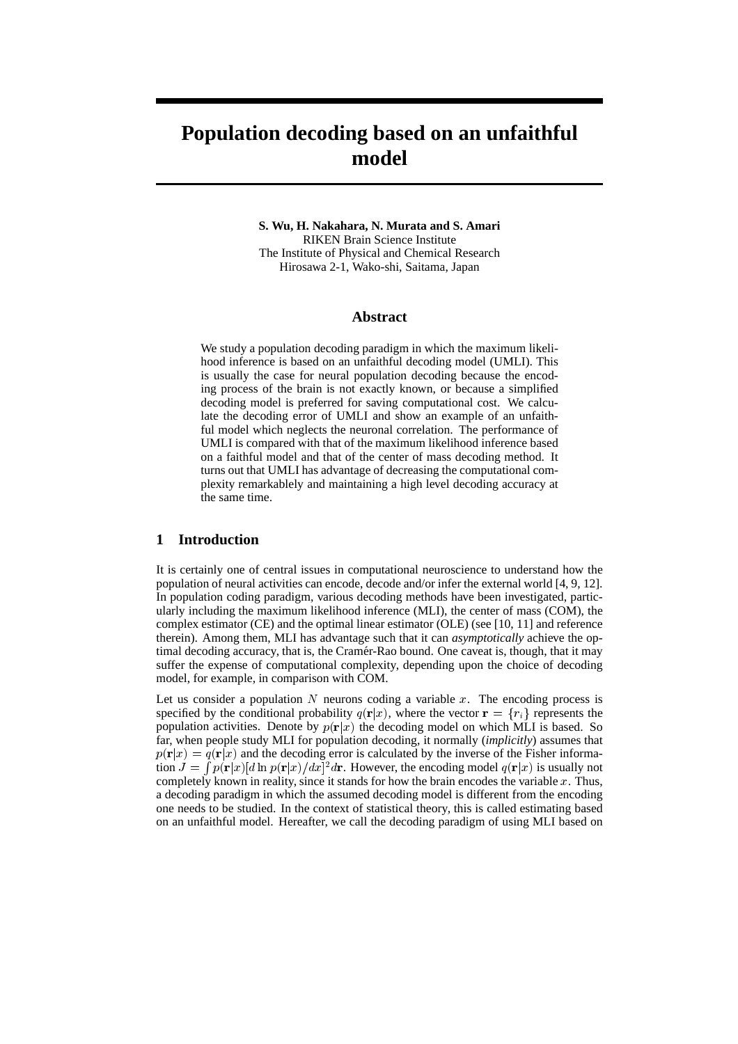# **Population decoding based on an unfaithful model**

#### **S. Wu, H. Nakahara, N. Murata and S. Amari** RIKEN Brain Science Institute The Institute of Physical and Chemical Research Hirosawa 2-1, Wako-shi, Saitama, Japan

### **Abstract**

We study a population decoding paradigm in which the maximum likelihood inference is based on an unfaithful decoding model (UMLI). This is usually the case for neural population decoding because the encoding process of the brain is not exactly known, or because a simplified decoding model is preferred for saving computational cost. We calculate the decoding error of UMLI and show an example of an unfaithful model which neglects the neuronal correlation. The performance of UMLI is compared with that of the maximum likelihood inference based on a faithful model and that of the center of mass decoding method. It turns out that UMLI has advantage of decreasing the computational complexity remarkablely and maintaining a high level decoding accuracy at the same time.

## **1 Introduction**

It is certainly one of central issues in computational neuroscience to understand how the population of neural activities can encode, decode and/or infer the external world [4, 9, 12]. In population coding paradigm, various decoding methods have been investigated, particularly including the maximum likelihood inference (MLI), the center of mass (COM), the complex estimator (CE) and the optimal linear estimator (OLE) (see [10, 11] and reference therein). Among them, MLI has advantage such that it can *asymptotically* achieve the optimal decoding accuracy, that is, the Cramér-Rao bound. One caveat is, though, that it may suffer the expense of computational complexity, depending upon the choice of decoding model, for example, in comparison with COM.

Let us consider a population N neurons coding a variable x. The encoding process is specified by the conditional probability  $q(\mathbf{r}|x)$ , where the vector  $\mathbf{r} = \{r_i\}$  represents the population activities. Denote by  $p(\mathbf{r}|x)$  the decoding model on which MLI is based. So far, when people study MLI for population decoding, it normally (*implicitly*) assumes that  $p(\mathbf{r}|x) = q(\mathbf{r}|x)$  and the decoding error is calculated by the inverse of the Fisher information  $J = \int p(\mathbf{r}|x)[d\ln p(\mathbf{r}|x)/dx]^2 d\mathbf{r}$ . However, the encoding model  $q(\mathbf{r}|x)$  is usually not completely known in reality, since it stands for how the brain encodes the variable  $x$ . Thus, a decoding paradigm in which the assumed decoding model is different from the encoding one needs to be studied. In the context of statistical theory, this is called estimating based on an unfaithful model. Hereafter, we call the decoding paradigm of using MLI based on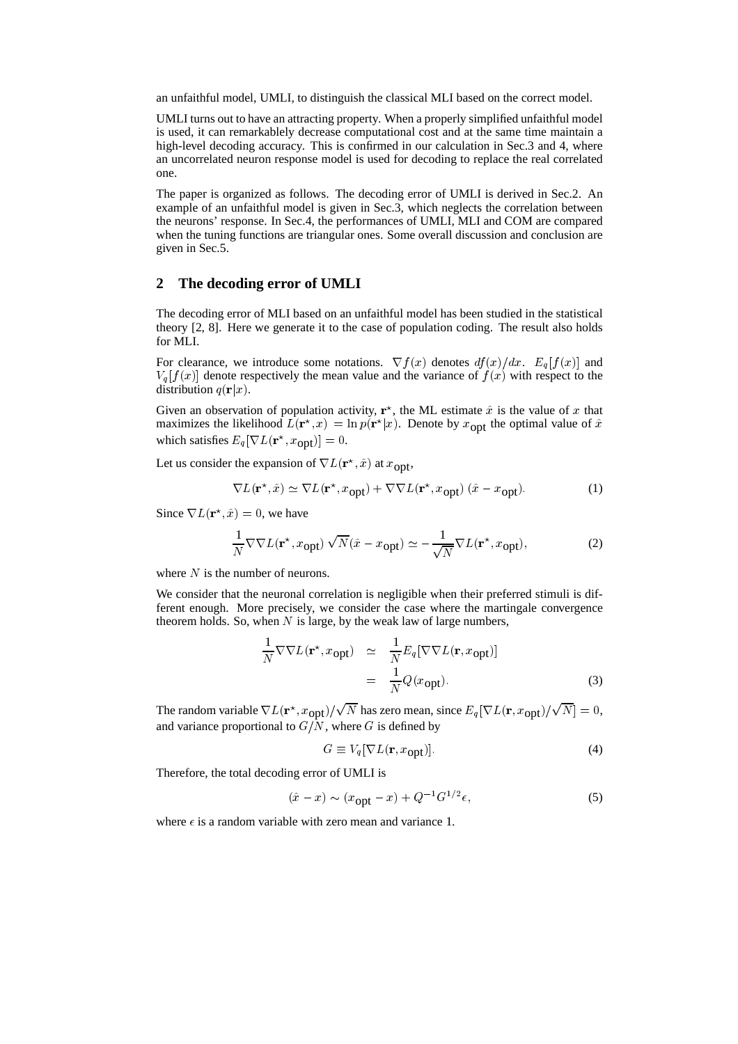an unfaithful model, UMLI, to distinguish the classical MLI based on the correct model.

UMLI turns out to have an attracting property. When a properly simplified unfaithful model is used, it can remarkablely decrease computational cost and at the same time maintain a high-level decoding accuracy. This is confirmed in our calculation in Sec.3 and 4, where an uncorrelated neuron response model is used for decoding to replace the real correlated one.

The paper is organized as follows. The decoding error of UMLI is derived in Sec.2. An example of an unfaithful model is given in Sec.3, which neglects the correlation between the neurons' response. In Sec.4, the performances of UMLI, MLI and COM are compared when the tuning functions are triangular ones. Some overall discussion and conclusion are given in Sec.5.

## **2 The decoding error of UMLI**

The decoding error of MLI based on an unfaithful model has been studied in the statistical theory [2, 8]. Here we generate it to the case of population coding. The result also holds for MLI.

For clearance, we introduce some notations.  $\nabla f(x)$  denotes  $df(x)/dx$ .  $E_q[f(x)]$  and  $V_q[f(x)]$  denote respectively the mean value and the variance of  $f(x)$  with respect to the distribution  $q(\mathbf{r}|x)$ .

Given an observation of population activity,  $\mathbf{r}^*$ , the ML estimate  $\hat{x}$  is the value of x that maximizes the likelihood  $L(\mathbf{r}^*, x) = \ln p(\mathbf{r}^* | x)$ . Denote by  $x_{\text{opt}}$  the optimal value of  $\hat{x}$ which satisfies  $E_q[\nabla L(\mathbf{r}^*, x_{\text{opt}})] = 0.$ 

Let us consider the expansion of  $\nabla L(\mathbf{r}^*, \hat{x})$  at  $x_{\text{opt}}$ ,

$$
\nabla L(\mathbf{r}^{\star}, \hat{x}) \simeq \nabla L(\mathbf{r}^{\star}, x_{\text{opt}}) + \nabla \nabla L(\mathbf{r}^{\star}, x_{\text{opt}}) (\hat{x} - x_{\text{opt}}). \tag{1}
$$

Since  $\nabla L(\mathbf{r}^*, \hat{x}) = 0$ , we have

$$
\frac{1}{N} \nabla \nabla L(\mathbf{r}^*, x_{\text{opt}}) \sqrt{N} (\hat{x} - x_{\text{opt}}) \simeq -\frac{1}{\sqrt{N}} \nabla L(\mathbf{r}^*, x_{\text{opt}}),\tag{2}
$$

where  $N$  is the number of neurons.

We consider that the neuronal correlation is negligible when their preferred stimuli is different enough. More precisely, we consider the case where the martingale convergence theorem holds. So, when  $N$  is large, by the weak law of large numbers,

$$
\frac{1}{N} \nabla \nabla L(\mathbf{r}^*, x_{\text{opt}}) \simeq \frac{1}{N} E_q [\nabla \nabla L(\mathbf{r}, x_{\text{opt}})]
$$
\n
$$
= \frac{1}{N} Q(x_{\text{opt}}). \tag{3}
$$

The random variable  $\nabla L(\mathbf{r}^*, x_{\text{opt}})/\sqrt{N}$  has zero mean, since  $E_q[\nabla L(\mathbf{r}, x_{\text{opt}})/\sqrt{N}] = 0$ , and variance proportional to  $G/N$ , where G is defined by

$$
G \equiv V_q [\nabla L(\mathbf{r}, x_{\text{opt}})]. \tag{4}
$$

Therefore, the total decoding error of UMLI is

$$
(\hat{x} - x) \sim (x_{\text{opt}} - x) + Q^{-1} G^{1/2} \epsilon,
$$
\n(5)

where  $\epsilon$  is a random variable with zero mean and variance 1.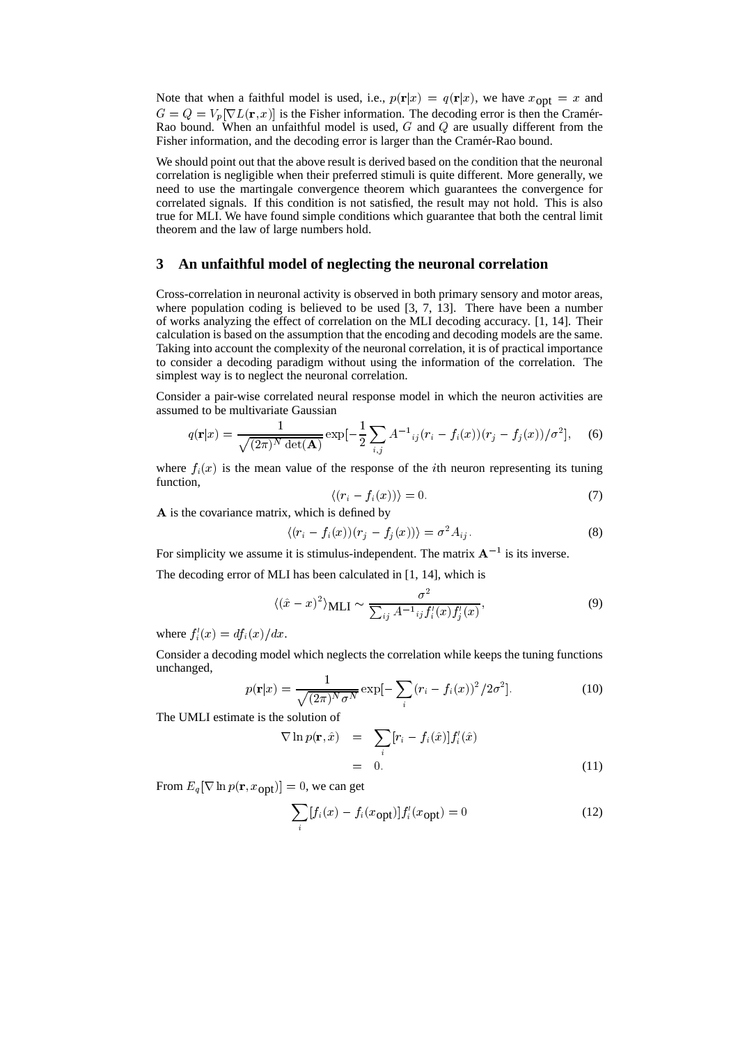Note that when a faithful model is used, i.e.,  $p(\mathbf{r}|x) = q(\mathbf{r}|x)$ , we have  $x_{\text{opt}} = x$  and  $G = Q = V_p[\nabla L(\mathbf{r}, x)]$  is the Fisher information. The decoding error is then the Cramér-Rao bound. When an unfaithful model is used,  $G$  and  $Q$  are usually different from the Fisher information, and the decoding error is larger than the Cramér-Rao bound.

We should point out that the above result is derived based on the condition that the neuronal correlation is negligible when their preferred stimuli is quite different. More generally, we need to use the martingale convergence theorem which guarantees the convergence for correlated signals. If this condition is not satisfied, the result may not hold. This is also true for MLI. We have found simple conditions which guarantee that both the central limit theorem and the law of large numbers hold.

## **3 An unfaithful model of neglecting the neuronal correlation**

Cross-correlation in neuronal activity is observed in both primary sensory and motor areas, where population coding is believed to be used [3, 7, 13]. There have been a number of works analyzing the effect of correlation on the MLI decoding accuracy. [1, 14]. Their calculation is based on the assumption that the encoding and decoding models are the same. Taking into account the complexity of the neuronal correlation, it is of practical importance to consider a decoding paradigm without using the information of the correlation. The simplest way is to neglect the neuronal correlation.

Consider a pair-wise correlated neural response model in which the neuron activities are assumed to be multivariate Gaussian

$$
q(\mathbf{r}|x) = \frac{1}{\sqrt{(2\pi)^N \det(\mathbf{A})}} \exp\left[-\frac{1}{2} \sum_{i,j} A^{-1}{}_{ij} (r_i - f_i(x)) (r_j - f_j(x))/\sigma^2\right], \quad (6)
$$

where  $f_i(x)$  is the mean value of the response of the *i*th neuron representing its tuning function,

$$
\langle (r_i - f_i(x)) \rangle = 0. \tag{7}
$$

<sup>A</sup> is the covariance matrix, which is defined by

$$
\langle (r_i - f_i(x))(r_j - f_j(x)) \rangle = \sigma^2 A_{ij}.
$$
 (8)

For simplicity we assume it is stimulus-independent. The matrix  $A^{-1}$  is its inverse.

The decoding error of MLI has been calculated in [1, 14], which is

$$
\langle (\hat{x} - x)^2 \rangle \text{MLI} \sim \frac{\sigma^2}{\sum_{ij} A^{-1} \, ij f'_i(x) f'_j(x)},\tag{9}
$$

where  $f_i'(x) = df_i(x)/dx$ .

Consider a decoding model which neglects the correlation while keeps the tuning functions unchanged,

$$
p(\mathbf{r}|x) = \frac{1}{\sqrt{(2\pi)^N \sigma^N}} \exp[-\sum_{i} (r_i - f_i(x))^2 / 2\sigma^2].
$$
 (10)

The UMLI estimate is the solution of

$$
\nabla \ln p(\mathbf{r}, \hat{x}) = \sum_{i} [r_i - f_i(\hat{x})] f'_i(\hat{x})
$$
  
= 0. (11)

From  $E_q[\nabla \ln p(\mathbf{r}, x_{\text{opt}})] = 0$ , we can get

$$
\sum_{i} [f_i(x) - f_i(x_{\text{opt}})] f'_i(x_{\text{opt}}) = 0 \tag{12}
$$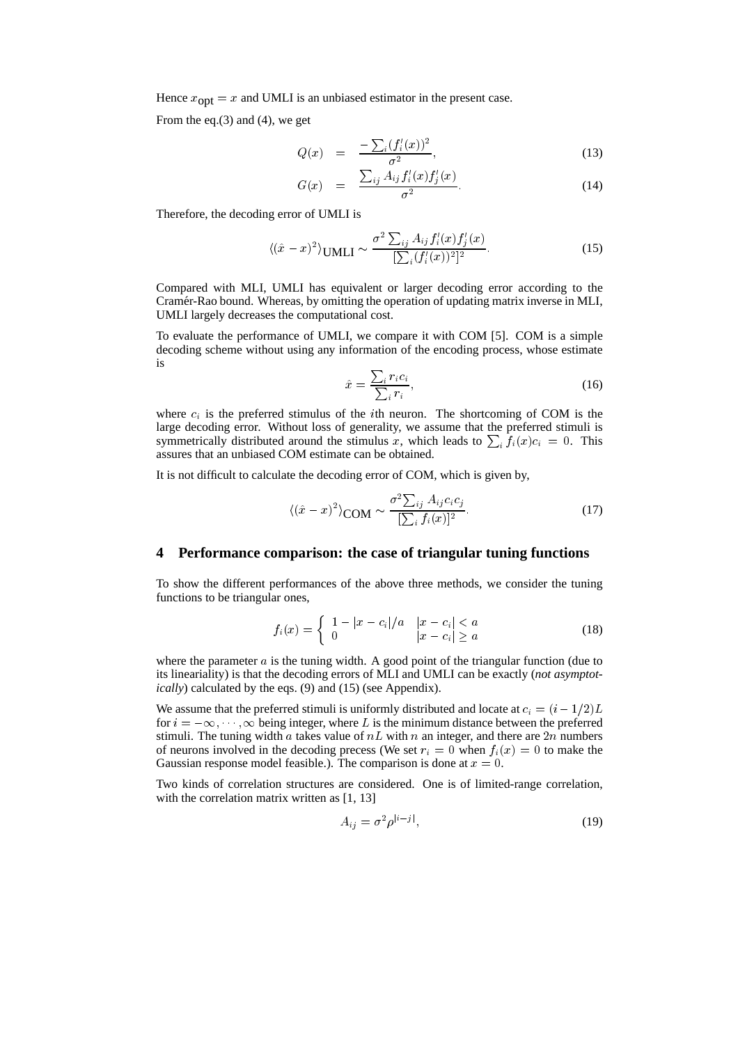Hence  $x_{opt} = x$  and UMLI is an unbiased estimator in the present case.

From the eq.(3) and (4), we get

$$
Q(x) = \frac{-\sum_{i} (f_i'(x))^2}{\sigma^2},
$$
\n(13)

$$
G(x) = \frac{\sum_{ij} A_{ij} f'_i(x) f'_j(x)}{\sigma^2}.
$$
 (14)

Therefore, the decoding error of UMLI is

$$
\langle (\hat{x} - x)^2 \rangle \text{UMLI} \sim \frac{\sigma^2 \sum_{ij} A_{ij} f'_i(x) f'_j(x)}{[\sum_i (f'_i(x))^2]^2}.
$$
 (15)

Compared with MLI, UMLI has equivalent or larger decoding error according to the Cramér-Rao bound. Whereas, by omitting the operation of updating matrix inverse in MLI, UMLI largely decreases the computational cost.

To evaluate the performance of UMLI, we compare it with COM [5]. COM is a simple decoding scheme without using any information of the encoding process, whose estimate is

$$
\hat{x} = \frac{\sum_{i} r_i c_i}{\sum_{i} r_i},\tag{16}
$$

where  $c_i$  is the preferred stimulus of the *i*th neuron. The shortcoming of COM is the large decoding error. Without loss of generality, we assume that the preferred stimuli is symmetrically distributed around the stimulus x, which leads to  $\sum_i f_i(x)c_i = 0$ . This assures that an unbiased COM estimate can be obtained.

It is not difficult to calculate the decoding error of COM, which is given by,

$$
\langle (\hat{x} - x)^2 \rangle_{\text{COM}} \sim \frac{\sigma^2 \sum_{ij} A_{ij} c_i c_j}{[\sum_i f_i(x)]^2}.
$$
 (17)

### **4 Performance comparison: the case of triangular tuning functions**

To show the different performances of the above three methods, we consider the tuning functions to be triangular ones,

$$
f_i(x) = \begin{cases} 1 - |x - c_i|/a & |x - c_i| < a \\ 0 & |x - c_i| \ge a \end{cases} \tag{18}
$$

where the parameter  $\alpha$  is the tuning width. A good point of the triangular function (due to its lineariality) is that the decoding errors of MLI and UMLI can be exactly (*not asymptotically*) calculated by the eqs. (9) and (15) (see Appendix).

We assume that the preferred stimuli is uniformly distributed and locate at  $c_i = (i - 1/2)L$ for  $i = -\infty, \dots, \infty$  being integer, where L is the minimum distance between the preferred stimuli. The tuning width a takes value of  $nL$  with n an integer, and there are  $2n$  numbers of neurons involved in the decoding precess (We set  $r_i = 0$  when  $f_i(x) = 0$  to make the Gaussian response model feasible.). The comparison is done at  $x = 0$ .

Two kinds of correlation structures are considered. One is of limited-range correlation, with the correlation matrix written as [1, 13]

$$
A_{ij} = \sigma^2 \rho^{|i-j|},\tag{19}
$$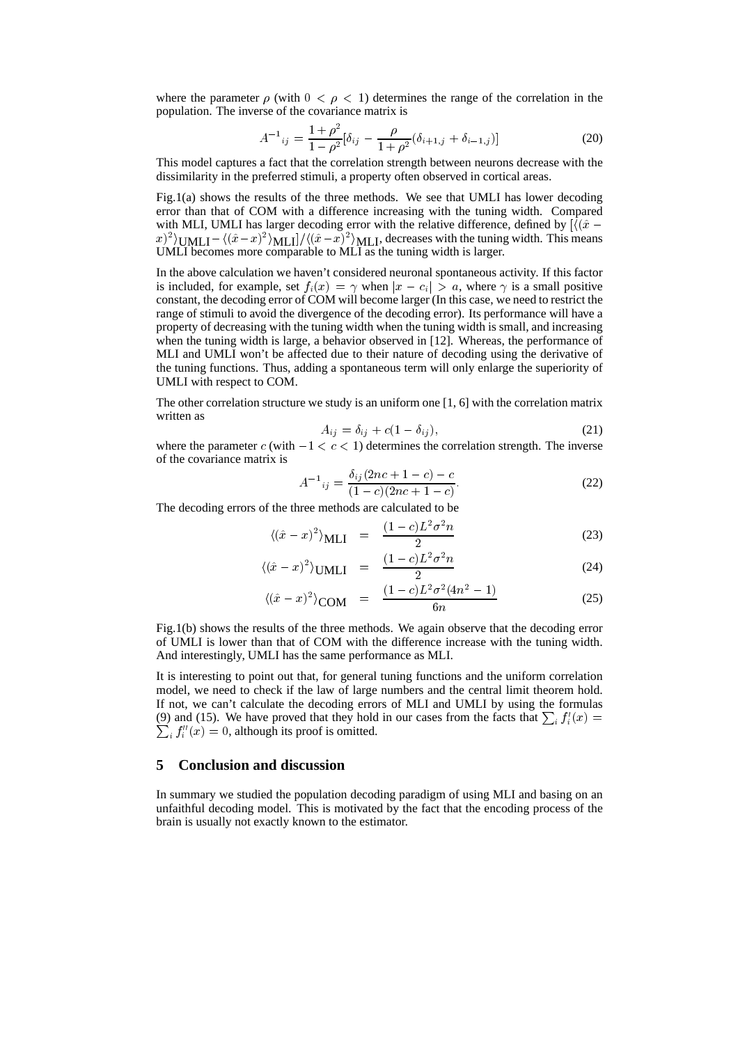where the parameter  $\rho$  (with  $0 < \rho < 1$ ) determines the range of the correlation in the population. The inverse of the covariance matrix is

$$
A^{-1}_{ij} = \frac{1+\rho^2}{1-\rho^2} [\delta_{ij} - \frac{\rho}{1+\rho^2} (\delta_{i+1,j} + \delta_{i-1,j})]
$$
(20)

This model captures a fact that the correlation strength between neurons decrease with the dissimilarity in the preferred stimuli, a property often observed in cortical areas.

Fig.1(a) shows the results of the three methods. We see that UMLI has lower decoding error than that of COM with a difference increasing with the tuning width. Compared with MLI, UMLI has larger decoding error with the relative difference, defined by  $\left[ \frac{\hat{x}}{x} - \frac{\hat{x}}{x} \right]$  $\frac{f(x)}{f(x)} = \frac{\langle (\hat{x} - x)^2 \rangle_{\text{ML}}}{\langle (\hat{x} - x)^2 \rangle_{\text{ML}}}$ , decreases with the tuning width. This means UMLI becomes more comparable to MLI as the tuning width is larger.

In the above calculation we haven't considered neuronal spontaneous activity. If this factor is included, for example, set  $f_i(x) = \gamma$  when  $|x - c_i| > a$ , where  $\gamma$  is a small positive constant, the decoding error of COM will become larger (In this case, we need to restrict the range of stimuli to avoid the divergence of the decoding error). Its performance will have a property of decreasing with the tuning width when the tuning width is small, and increasing when the tuning width is large, a behavior observed in [12]. Whereas, the performance of MLI and UMLI won't be affected due to their nature of decoding using the derivative of the tuning functions. Thus, adding a spontaneous term will only enlarge the superiority of UMLI with respect to COM.

The other correlation structure we study is an uniform one [1, 6] with the correlation matrix written as

$$
A_{ij} = \delta_{ij} + c(1 - \delta_{ij}),\tag{21}
$$

where the parameter c (with  $-1 < c < 1$ ) determines the correlation strength. The inverse of the covariance matrix is

$$
A^{-1}_{ij} = \frac{\delta_{ij}(2nc + 1 - c) - c}{(1 - c)(2nc + 1 - c)}.
$$
\n(22)

The decoding errors of the three methods are calculated to be

$$
\langle (\hat{x} - x)^2 \rangle_{\text{MLI}} = \frac{(1 - c)L^2 \sigma^2 n}{2} \tag{23}
$$

$$
\langle (\hat{x} - x)^2 \rangle_{\text{UMLI}} = \frac{(1 - c)L^2 \sigma^2 n}{2} \tag{24}
$$

$$
\langle (\hat{x} - x)^2 \rangle_{\text{COM}} = \frac{(1 - c)L^2 \sigma^2 (4n^2 - 1)}{6n} \tag{25}
$$

Fig.1(b) shows the results of the three methods. We again observe that the decoding error of UMLI is lower than that of COM with the difference increase with the tuning width. And interestingly, UMLI has the same performance as MLI.

It is interesting to point out that, for general tuning functions and the uniform correlation model, we need to check if the law of large numbers and the central limit theorem hold. If not, we can't calculate the decoding errors of MLI and UMLI by using the formulas (9) and (15). We have proved that they hold in our cases from the facts that  $\sum_i f'_i(x) =$  $\sum_i f''_i(x) = 0$ , although its proof is omitted.

## **5 Conclusion and discussion**

In summary we studied the population decoding paradigm of using MLI and basing on an unfaithful decoding model. This is motivated by the fact that the encoding process of the brain is usually not exactly known to the estimator.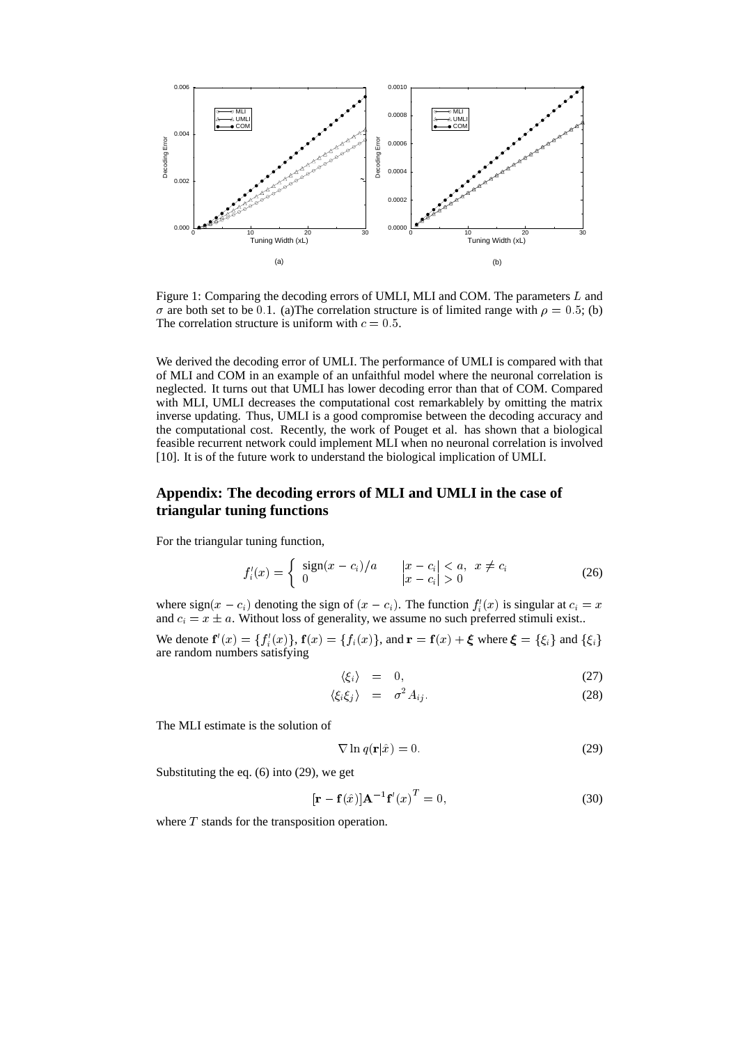

Figure 1: Comparing the decoding errors of UMLI, MLI and COM. The parameters L and  $\sigma$  are both set to be 0.1. (a)The correlation structure is of limited range with  $\rho = 0.5$ ; (b) The correlation structure is uniform with  $c = 0.5$ .

We derived the decoding error of UMLI. The performance of UMLI is compared with that of MLI and COM in an example of an unfaithful model where the neuronal correlation is neglected. It turns out that UMLI has lower decoding error than that of COM. Compared with MLI, UMLI decreases the computational cost remarkablely by omitting the matrix inverse updating. Thus, UMLI is a good compromise between the decoding accuracy and the computational cost. Recently, the work of Pouget et al. has shown that a biological feasible recurrent network could implement MLI when no neuronal correlation is involved [10]. It is of the future work to understand the biological implication of UMLI.

# **Appendix: The decoding errors of MLI and UMLI in the case of triangular tuning functions**

For the triangular tuning function,

$$
f_i'(x) = \begin{cases} \text{sign}(x - c_i)/a & |x - c_i| < a, \ x \neq c_i \\ 0 & |x - c_i| > 0 \end{cases} \tag{26}
$$

where sign $(x - c_i)$  denoting the sign of  $(x - c_i)$ . The function  $f_i'(x)$  is singular at  $c_i = x$ and  $c_i = x \pm a$ . Without loss of generality, we assume no such preferred stimuli exist..

We denote  $f'(x) = \{f'_i(x)\}\$ ,  $f(x) = \{f_i(x)\}\$ , and  $r = f(x) + \xi$  where  $\xi = \{\xi_i\}$  and  $\{\xi_i\}$ are random numbers satisfying

$$
\langle \xi_i \rangle = 0, \tag{27}
$$

$$
\langle \xi_i \xi_j \rangle = \sigma^2 A_{ij}.
$$
\n(28)

The MLI estimate is the solution of

$$
\nabla \ln q(\mathbf{r}|\hat{x}) = 0. \tag{29}
$$

Substituting the eq. (6) into (29), we get

$$
[\mathbf{r} - \mathbf{f}(\hat{x})] \mathbf{A}^{-1} \mathbf{f}'(x)^T = 0,
$$
\n(30)

where  $T$  stands for the transposition operation.